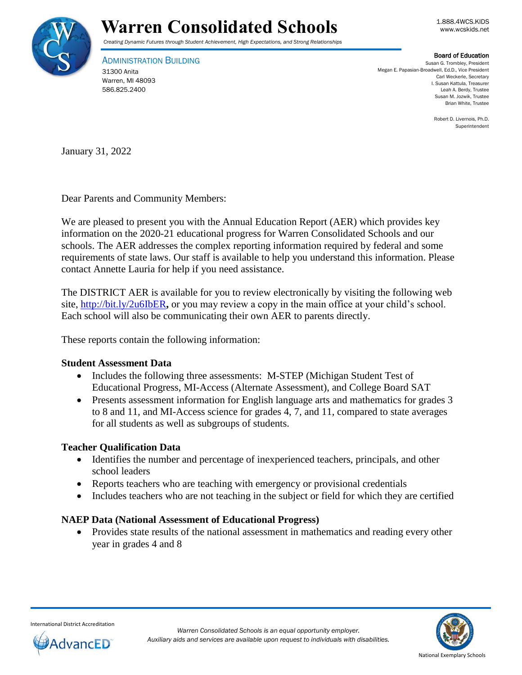

# Warren Consolidated Schools **Warren** Consolidated Schools

*Creating Dynamic Futures through Student Achievement, High Expectations, and Strong Relationships*

ADMINISTRATION BUILDING 31300 Anita Warren, MI 48093 586.825.2400

Board of Education

Susan G. Trombley, President Megan E. Papasian-Broadwell, Ed.D., Vice President Carl Weckerle, Secretary I. Susan Kattula, Treasurer Leah A. Berdy, Trustee Susan M. Jozwik, Trustee Brian White, Trustee

> Robert D. Livernois, Ph.D. Superintendent

January 31, 2022

Dear Parents and Community Members:

We are pleased to present you with the Annual Education Report (AER) which provides key information on the 2020-21 educational progress for Warren Consolidated Schools and our schools. The AER addresses the complex reporting information required by federal and some requirements of state laws. Our staff is available to help you understand this information. Please contact Annette Lauria for help if you need assistance.

The DISTRICT AER is available for you to review electronically by visiting the following web site,<http://bit.ly/2u6IbER>**,** or you may review a copy in the main office at your child's school. Each school will also be communicating their own AER to parents directly.

These reports contain the following information:

### **Student Assessment Data**

- Includes the following three assessments: M-STEP (Michigan Student Test of Educational Progress, MI-Access (Alternate Assessment), and College Board SAT
- Presents assessment information for English language arts and mathematics for grades 3 to 8 and 11, and MI-Access science for grades 4, 7, and 11, compared to state averages for all students as well as subgroups of students.

### **Teacher Qualification Data**

- Identifies the number and percentage of inexperienced teachers, principals, and other school leaders
- Reports teachers who are teaching with emergency or provisional credentials
- Includes teachers who are not teaching in the subject or field for which they are certified

### **NAEP Data (National Assessment of Educational Progress)**

• Provides state results of the national assessment in mathematics and reading every other year in grades 4 and 8



International District Accreditation

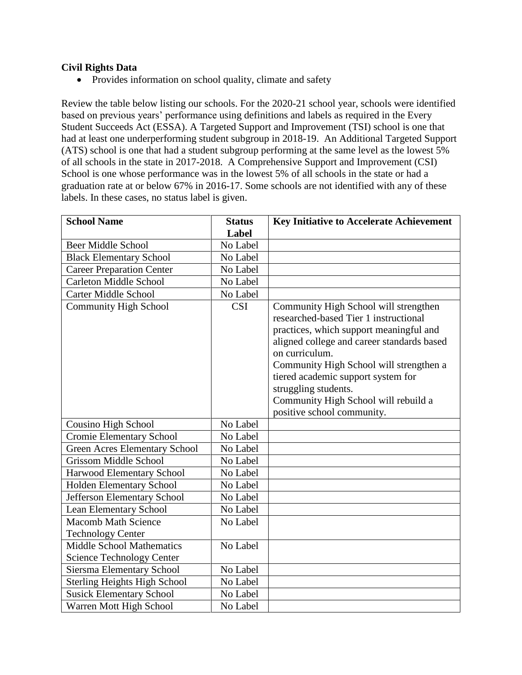## **Civil Rights Data**

• Provides information on school quality, climate and safety

Review the table below listing our schools. For the 2020-21 school year, schools were identified based on previous years' performance using definitions and labels as required in the Every Student Succeeds Act (ESSA). A Targeted Support and Improvement (TSI) school is one that had at least one underperforming student subgroup in 2018-19. An Additional Targeted Support (ATS) school is one that had a student subgroup performing at the same level as the lowest 5% of all schools in the state in 2017-2018. A Comprehensive Support and Improvement (CSI) School is one whose performance was in the lowest 5% of all schools in the state or had a graduation rate at or below 67% in 2016-17. Some schools are not identified with any of these labels. In these cases, no status label is given.

| <b>School Name</b>                                     | <b>Status</b> | <b>Key Initiative to Accelerate Achievement</b>                                                                                                                                                                                                                                                                                                                          |
|--------------------------------------------------------|---------------|--------------------------------------------------------------------------------------------------------------------------------------------------------------------------------------------------------------------------------------------------------------------------------------------------------------------------------------------------------------------------|
|                                                        | Label         |                                                                                                                                                                                                                                                                                                                                                                          |
| <b>Beer Middle School</b>                              | No Label      |                                                                                                                                                                                                                                                                                                                                                                          |
| <b>Black Elementary School</b>                         | No Label      |                                                                                                                                                                                                                                                                                                                                                                          |
| <b>Career Preparation Center</b>                       | No Label      |                                                                                                                                                                                                                                                                                                                                                                          |
| <b>Carleton Middle School</b>                          | No Label      |                                                                                                                                                                                                                                                                                                                                                                          |
| <b>Carter Middle School</b>                            | No Label      |                                                                                                                                                                                                                                                                                                                                                                          |
| <b>Community High School</b>                           | <b>CSI</b>    | Community High School will strengthen<br>researched-based Tier 1 instructional<br>practices, which support meaningful and<br>aligned college and career standards based<br>on curriculum.<br>Community High School will strengthen a<br>tiered academic support system for<br>struggling students.<br>Community High School will rebuild a<br>positive school community. |
| Cousino High School                                    | No Label      |                                                                                                                                                                                                                                                                                                                                                                          |
| <b>Cromie Elementary School</b>                        | No Label      |                                                                                                                                                                                                                                                                                                                                                                          |
| <b>Green Acres Elementary School</b>                   | No Label      |                                                                                                                                                                                                                                                                                                                                                                          |
| <b>Grissom Middle School</b>                           | No Label      |                                                                                                                                                                                                                                                                                                                                                                          |
| Harwood Elementary School                              | No Label      |                                                                                                                                                                                                                                                                                                                                                                          |
| Holden Elementary School                               | No Label      |                                                                                                                                                                                                                                                                                                                                                                          |
| Jefferson Elementary School                            | No Label      |                                                                                                                                                                                                                                                                                                                                                                          |
| <b>Lean Elementary School</b>                          | No Label      |                                                                                                                                                                                                                                                                                                                                                                          |
| <b>Macomb Math Science</b><br><b>Technology Center</b> | No Label      |                                                                                                                                                                                                                                                                                                                                                                          |
| <b>Middle School Mathematics</b>                       | No Label      |                                                                                                                                                                                                                                                                                                                                                                          |
| <b>Science Technology Center</b>                       |               |                                                                                                                                                                                                                                                                                                                                                                          |
| <b>Siersma Elementary School</b>                       | No Label      |                                                                                                                                                                                                                                                                                                                                                                          |
| <b>Sterling Heights High School</b>                    | No Label      |                                                                                                                                                                                                                                                                                                                                                                          |
| <b>Susick Elementary School</b>                        | No Label      |                                                                                                                                                                                                                                                                                                                                                                          |
| Warren Mott High School                                | No Label      |                                                                                                                                                                                                                                                                                                                                                                          |